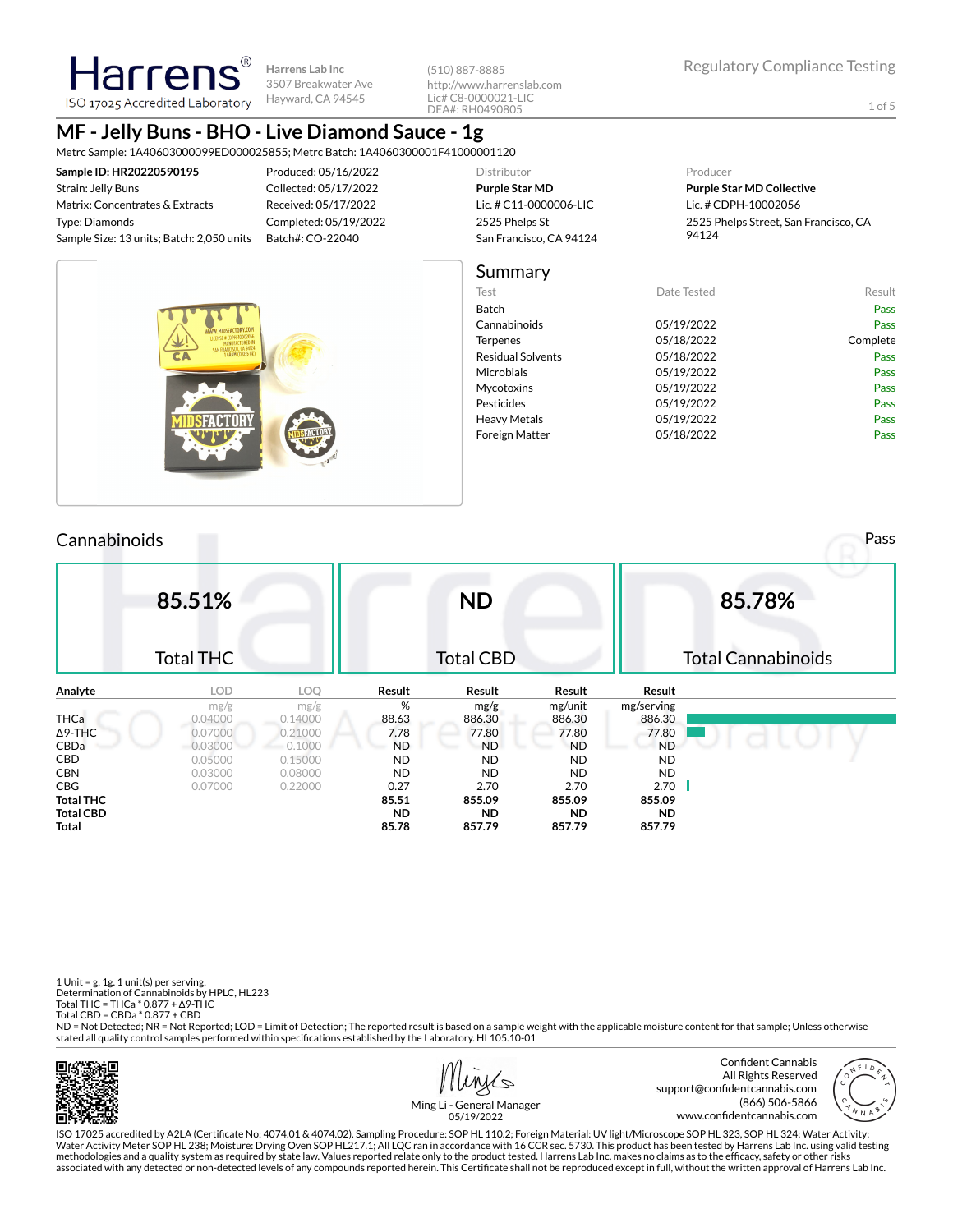**Harrens Lab Inc** 3507 Breakwater Ave Hayward, CA 94545

(510) 887-8885 http://www.harrenslab.com Lic# C8-0000021-LIC DEA#: RH0490805

# **MF - Jelly Buns - BHO - Live Diamond Sauce - 1g**

Metrc Sample: 1A40603000099ED000025855; Metrc Batch: 1A4060300001F41000001120

| Sample ID: HR20220590195                  | Produced: 05/16/2022  | Distributor             | Producer                              |
|-------------------------------------------|-----------------------|-------------------------|---------------------------------------|
| Strain: Jelly Buns                        | Collected: 05/17/2022 | <b>Purple Star MD</b>   | <b>Purple Star MD Collective</b>      |
| Matrix: Concentrates & Extracts           | Received: 05/17/2022  | Lic. # C11-0000006-LIC  | Lic. # CDPH-10002056                  |
| Type: Diamonds                            | Completed: 05/19/2022 | 2525 Phelps St          | 2525 Phelps Street, San Francisco, CA |
| Sample Size: 13 units; Batch: 2,050 units | Batch#: CO-22040      | San Francisco, CA 94124 | 94124                                 |
|                                           |                       |                         |                                       |



## Cannabinoids Pass

Harren

ISO 17025 Accredited Laboratory

|                  | 85.51%           |            |           | <b>ND</b> |           |            | 85.78%                    |
|------------------|------------------|------------|-----------|-----------|-----------|------------|---------------------------|
|                  | <b>Total THC</b> |            |           | Total CBD |           |            | <b>Total Cannabinoids</b> |
| Analyte          | LOD.             | <b>LOO</b> | Result    | Result    | Result    | Result     |                           |
|                  | mg/g             | mg/g       | %         | mg/g      | mg/unit   | mg/serving |                           |
| <b>THCa</b>      | 0.04000          | 0.14000    | 88.63     | 886.30    | 886.30    | 886.30     |                           |
| $\Delta$ 9-THC   | 0.07000          | 0.21000    | 7.78      | 77.80     | 77.80     | 77.80      |                           |
| CBDa             | $-0.03000$       | 0.1000     | <b>ND</b> | <b>ND</b> | <b>ND</b> | <b>ND</b>  |                           |
| <b>CBD</b>       | 0.05000          | 0.15000    | <b>ND</b> | <b>ND</b> | <b>ND</b> | <b>ND</b>  |                           |
| <b>CBN</b>       | 0.03000          | 0.08000    | <b>ND</b> | <b>ND</b> | <b>ND</b> | <b>ND</b>  |                           |
| <b>CBG</b>       | 0.07000          | 0.22000    | 0.27      | 2.70      | 2.70      | 2.70       |                           |
| <b>Total THC</b> |                  |            | 85.51     | 855.09    | 855.09    | 855.09     |                           |
| <b>Total CBD</b> |                  |            | ND.       | <b>ND</b> | <b>ND</b> | <b>ND</b>  |                           |
| <b>Total</b>     |                  |            | 85.78     | 857.79    | 857.79    | 857.79     |                           |

1 Unit =  $g$ , 1 $g$ . 1 unit(s) per serving. Determination of Cannabinoids by HPLC, HL223 Total THC = THCa \* 0.877 + ∆9-THC Total CBD = CBDa \* 0.877 + CBD

ND = Not Detected; NR = Not Reported; LOD = Limit of Detection; The reported result is based on a sample weight with the applicable moisture content for that sample; Unless otherwise stated all quality control samples performed within specifications established by the Laboratory. HL105.10-01





Ming Li - General Manager 05/19/2022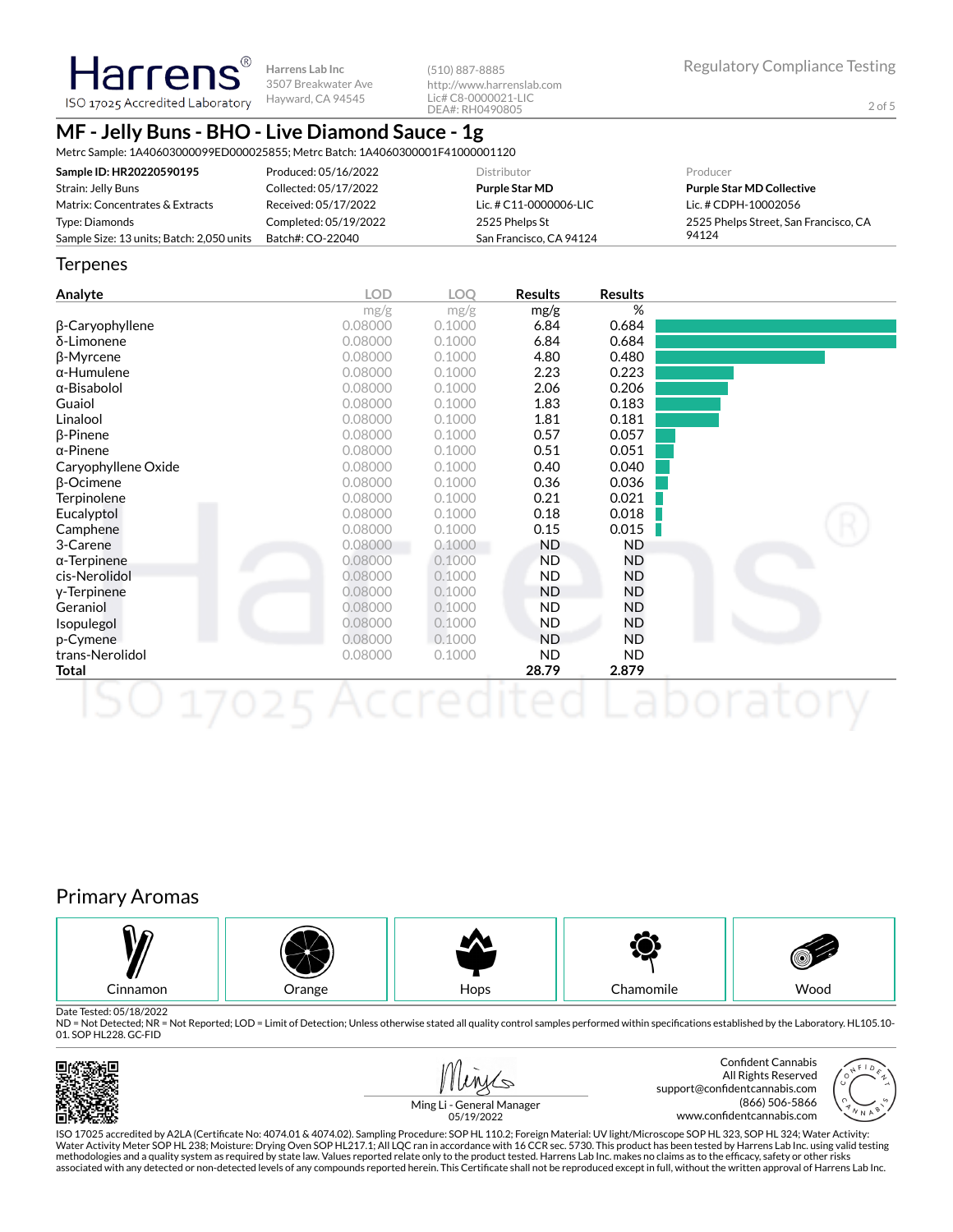**Harrens Lab Inc** 3507 Breakwater Ave ISO 17025 Accredited Laboratory Hayward, CA 94545

(510) 887-8885 http://www.harrenslab.com Lic# C8-0000021-LIC DEA#: RH0490805

## **MF - Jelly Buns - BHO - Live Diamond Sauce - 1g**

Metrc Sample: 1A40603000099ED000025855; Metrc Batch: 1A4060300001F41000001120

| Sample ID: HR20220590195                  | Produced: 05/16/2022  | Distributor             | Producer                              |
|-------------------------------------------|-----------------------|-------------------------|---------------------------------------|
| Strain: Jelly Buns                        | Collected: 05/17/2022 | <b>Purple Star MD</b>   | <b>Purple Star MD Collective</b>      |
| Matrix: Concentrates & Extracts           | Received: 05/17/2022  | Lic. # C11-0000006-LIC  | Lic. # CDPH-10002056                  |
| Type: Diamonds                            | Completed: 05/19/2022 | 2525 Phelps St          | 2525 Phelps Street, San Francisco, CA |
| Sample Size: 13 units; Batch: 2,050 units | Batch#: CO-22040      | San Francisco, CA 94124 | 94124                                 |

#### **Terpenes**

Harrens®

| Analyte             | <b>LOD</b> | <b>LOO</b> | <b>Results</b> | <b>Results</b> |  |
|---------------------|------------|------------|----------------|----------------|--|
|                     | mg/g       | mg/g       | mg/g           | %              |  |
| β-Caryophyllene     | 0.08000    | 0.1000     | 6.84           | 0.684          |  |
| δ-Limonene          | 0.08000    | 0.1000     | 6.84           | 0.684          |  |
| β-Myrcene           | 0.08000    | 0.1000     | 4.80           | 0.480          |  |
| $\alpha$ -Humulene  | 0.08000    | 0.1000     | 2.23           | 0.223          |  |
| $\alpha$ -Bisabolol | 0.08000    | 0.1000     | 2.06           | 0.206          |  |
| Guaiol              | 0.08000    | 0.1000     | 1.83           | 0.183          |  |
| Linalool            | 0.08000    | 0.1000     | 1.81           | 0.181          |  |
| $\beta$ -Pinene     | 0.08000    | 0.1000     | 0.57           | 0.057          |  |
| $\alpha$ -Pinene    | 0.08000    | 0.1000     | 0.51           | 0.051          |  |
| Caryophyllene Oxide | 0.08000    | 0.1000     | 0.40           | 0.040          |  |
| $\beta$ -Ocimene    | 0.08000    | 0.1000     | 0.36           | 0.036          |  |
| Terpinolene         | 0.08000    | 0.1000     | 0.21           | 0.021          |  |
| Eucalyptol          | 0.08000    | 0.1000     | 0.18           | 0.018          |  |
| Camphene            | 0.08000    | 0.1000     | 0.15           | 0.015          |  |
| 3-Carene            | 0.08000    | 0.1000     | ND.            | ND             |  |
| $\alpha$ -Terpinene | 0.08000    | 0.1000     | <b>ND</b>      | <b>ND</b>      |  |
| cis-Nerolidol       | 0.08000    | 0.1000     | ND.            | ND             |  |
| y-Terpinene         | 0.08000    | 0.1000     | <b>ND</b>      | ND             |  |
| Geraniol            | 0.08000    | 0.1000     | ND.            | ND             |  |
| Isopulegol          | 0.08000    | 0.1000     | <b>ND</b>      | ND             |  |
| p-Cymene            | 0.08000    | 0.1000     | <b>ND</b>      | ND.            |  |
| trans-Nerolidol     | 0.08000    | 0.1000     | ND.            | <b>ND</b>      |  |
| Total               |            |            | 28.79          | 2.879          |  |
| æ                   |            |            |                |                |  |

## Primary Aromas



Date Tested: 05/18/2022

ND = Not Detected; NR = Not Reported; LOD = Limit of Detection; Unless otherwise stated all quality control samples performed within specifications established by the Laboratory. HL105.10-01. SOP HL228. GC-FID







Ming Li - General Manager 05/19/2022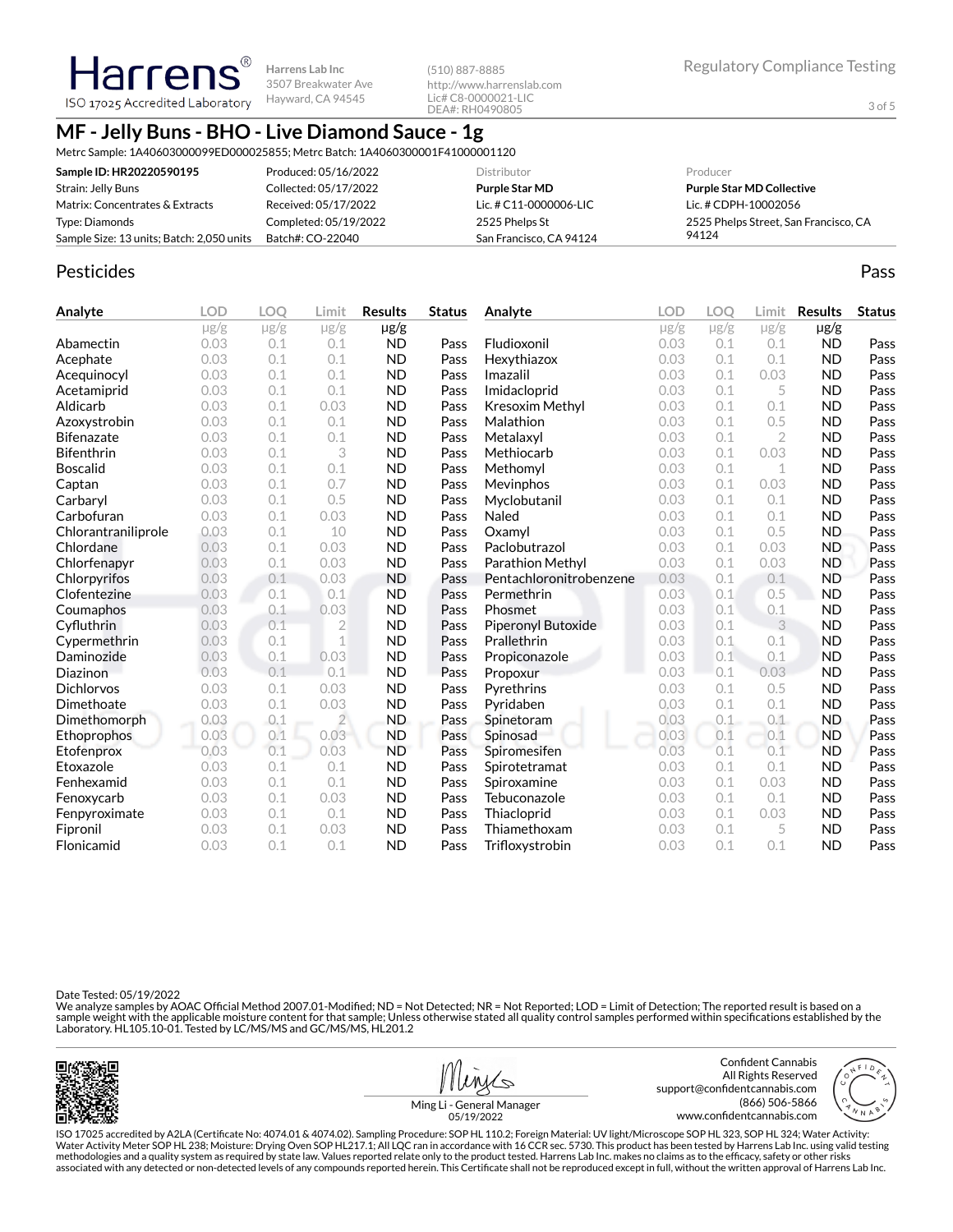**Harrens Lab Inc** 3507 Breakwater Ave Hayward, CA 94545

(510) 887-8885 http://www.harrenslab.com Lic# C8-0000021-LIC DEA#: RH0490805

## **MF - Jelly Buns - BHO - Live Diamond Sauce - 1g**

Metrc Sample: 1A40603000099ED000025855; Metrc Batch: 1A4060300001F41000001120

| Sample ID: HR20220590195                  | Produced: 05/16/2022  | <b>Distributor</b>      | Producer                              |
|-------------------------------------------|-----------------------|-------------------------|---------------------------------------|
| Strain: Jelly Buns                        | Collected: 05/17/2022 | <b>Purple Star MD</b>   | <b>Purple Star MD Collective</b>      |
| Matrix: Concentrates & Extracts           | Received: 05/17/2022  | Lic. # C11-0000006-LIC  | Lic. # CDPH-10002056                  |
| Type: Diamonds                            | Completed: 05/19/2022 | 2525 Phelps St          | 2525 Phelps Street, San Francisco, CA |
| Sample Size: 13 units; Batch: 2,050 units | Batch#: CO-22040      | San Francisco, CA 94124 | 94124                                 |

### Pesticides **Passage Community Community Community** Passes and the extension of the extension of the extension of the extension of the extension of the extension of the extension of the extension of the extension of the ext

Harrens ISO 17025 Accredited Laboratory

| Analyte             | <b>LOD</b> | <b>LOO</b> | Limit          | <b>Results</b> | <b>Status</b> | Analyte                 | <b>LOD</b> | <b>LOO</b> | Limit          | <b>Results</b> | <b>Status</b> |
|---------------------|------------|------------|----------------|----------------|---------------|-------------------------|------------|------------|----------------|----------------|---------------|
|                     | $\mu$ g/g  | $\mu$ g/g  | $\mu$ g/g      | $\mu$ g/g      |               |                         | $\mu$ g/g  | $\mu$ g/g  | $\mu$ g/g      | $\mu$ g/g      |               |
| Abamectin           | 0.03       | 0.1        | 0.1            | <b>ND</b>      | Pass          | Fludioxonil             | 0.03       | 0.1        | 0.1            | <b>ND</b>      | Pass          |
| Acephate            | 0.03       | 0.1        | 0.1            | <b>ND</b>      | Pass          | Hexythiazox             | 0.03       | 0.1        | 0.1            | <b>ND</b>      | Pass          |
| Acequinocyl         | 0.03       | 0.1        | 0.1            | <b>ND</b>      | Pass          | Imazalil                | 0.03       | 0.1        | 0.03           | <b>ND</b>      | Pass          |
| Acetamiprid         | 0.03       | 0.1        | 0.1            | <b>ND</b>      | Pass          | Imidacloprid            | 0.03       | 0.1        | 5              | <b>ND</b>      | Pass          |
| Aldicarb            | 0.03       | 0.1        | 0.03           | <b>ND</b>      | Pass          | Kresoxim Methyl         | 0.03       | 0.1        | 0.1            | <b>ND</b>      | Pass          |
| Azoxystrobin        | 0.03       | 0.1        | 0.1            | <b>ND</b>      | Pass          | Malathion               | 0.03       | 0.1        | 0.5            | <b>ND</b>      | Pass          |
| <b>Bifenazate</b>   | 0.03       | 0.1        | 0.1            | <b>ND</b>      | Pass          | Metalaxyl               | 0.03       | 0.1        | $\overline{2}$ | <b>ND</b>      | Pass          |
| <b>Bifenthrin</b>   | 0.03       | 0.1        | 3              | <b>ND</b>      | Pass          | Methiocarb              | 0.03       | 0.1        | 0.03           | <b>ND</b>      | Pass          |
| <b>Boscalid</b>     | 0.03       | 0.1        | 0.1            | <b>ND</b>      | Pass          | Methomyl                | 0.03       | 0.1        | $\mathbf 1$    | <b>ND</b>      | Pass          |
| Captan              | 0.03       | 0.1        | 0.7            | <b>ND</b>      | Pass          | Mevinphos               | 0.03       | 0.1        | 0.03           | <b>ND</b>      | Pass          |
| Carbaryl            | 0.03       | 0.1        | 0.5            | <b>ND</b>      | Pass          | Myclobutanil            | 0.03       | 0.1        | 0.1            | <b>ND</b>      | Pass          |
| Carbofuran          | 0.03       | 0.1        | 0.03           | <b>ND</b>      | Pass          | Naled                   | 0.03       | 0.1        | 0.1            | <b>ND</b>      | Pass          |
| Chlorantraniliprole | 0.03       | 0.1        | 10             | <b>ND</b>      | Pass          | Oxamyl                  | 0.03       | 0.1        | 0.5            | <b>ND</b>      | Pass          |
| Chlordane           | 0.03       | 0.1        | 0.03           | <b>ND</b>      | Pass          | Paclobutrazol           | 0.03       | 0.1        | 0.03           | <b>ND</b>      | Pass          |
| Chlorfenapyr        | 0.03       | 0.1        | 0.03           | <b>ND</b>      | Pass          | Parathion Methyl        | 0.03       | 0.1        | 0.03           | <b>ND</b>      | Pass          |
| Chlorpyrifos        | 0.03       | 0.1        | 0.03           | <b>ND</b>      | Pass          | Pentachloronitrobenzene | 0.03       | 0.1        | 0.1            | <b>ND</b>      | Pass          |
| Clofentezine        | 0.03       | 0.1        | 0.1            | <b>ND</b>      | Pass          | Permethrin              | 0.03       | 0.1        | 0.5            | <b>ND</b>      | Pass          |
| Coumaphos           | 0.03       | 0.1        | 0.03           | <b>ND</b>      | Pass          | Phosmet                 | 0.03       | 0.1        | 0.1            | <b>ND</b>      | Pass          |
| Cyfluthrin          | 0.03       | 0.1        | $\overline{2}$ | <b>ND</b>      | Pass          | Piperonyl Butoxide      | 0.03       | 0.1        | 3              | <b>ND</b>      | Pass          |
| Cypermethrin        | 0.03       | 0.1        | $\mathbb 1$    | <b>ND</b>      | Pass          | Prallethrin             | 0.03       | 0.1        | 0.1            | <b>ND</b>      | Pass          |
| Daminozide          | 0.03       | 0.1        | 0.03           | <b>ND</b>      | Pass          | Propiconazole           | 0.03       | 0.1        | 0.1            | <b>ND</b>      | Pass          |
| Diazinon            | 0.03       | 0.1        | 0.1            | <b>ND</b>      | Pass          | Propoxur                | 0.03       | 0.1        | 0.03           | <b>ND</b>      | Pass          |
| <b>Dichlorvos</b>   | 0.03       | 0.1        | 0.03           | <b>ND</b>      | Pass          | Pyrethrins              | 0.03       | 0.1        | 0.5            | <b>ND</b>      | Pass          |
| Dimethoate          | 0.03       | 0.1        | 0.03           | <b>ND</b>      | Pass          | Pyridaben               | 0.03       | 0.1        | 0.1            | <b>ND</b>      | Pass          |
| Dimethomorph        | 0.03       | 0.1        | $\overline{2}$ | <b>ND</b>      | Pass          | Spinetoram              | 0.03       | 0.1        | 0.1            | <b>ND</b>      | Pass          |
| Ethoprophos         | 0.03       | 0.1        | 0.03           | <b>ND</b>      | Pass          | Spinosad                | 0.03       | 0.1        | 0.1            | <b>ND</b>      | Pass          |
| Etofenprox          | 0.03       | 0.1        | 0.03           | <b>ND</b>      | Pass          | Spiromesifen            | 0.03       | 0.1        | 0.1            | <b>ND</b>      | Pass          |
| Etoxazole           | 0.03       | 0.1        | 0.1            | <b>ND</b>      | Pass          | Spirotetramat           | 0.03       | 0.1        | 0.1            | <b>ND</b>      | Pass          |
| Fenhexamid          | 0.03       | 0.1        | 0.1            | <b>ND</b>      | Pass          | Spiroxamine             | 0.03       | 0.1        | 0.03           | <b>ND</b>      | Pass          |
| Fenoxycarb          | 0.03       | 0.1        | 0.03           | <b>ND</b>      | Pass          | Tebuconazole            | 0.03       | 0.1        | 0.1            | <b>ND</b>      | Pass          |
| Fenpyroximate       | 0.03       | 0.1        | 0.1            | <b>ND</b>      | Pass          | Thiacloprid             | 0.03       | 0.1        | 0.03           | <b>ND</b>      | Pass          |
| Fipronil            | 0.03       | 0.1        | 0.03           | <b>ND</b>      | Pass          | Thiamethoxam            | 0.03       | 0.1        | 5              | <b>ND</b>      | Pass          |
| Flonicamid          | 0.03       | 0.1        | 0.1            | <b>ND</b>      | Pass          | Trifloxystrobin         | 0.03       | 0.1        | 0.1            | <b>ND</b>      | Pass          |

Date Tested: 05/19/2022

We analyze samples by AOAC Official Method 2007.01-Modified; ND = Not Detected; NR = Not Reported; LOD = Limit of Detection; The reported result is based on a sample weight with the applicable moisture content for that sample; Unless otherwise stated all quality control samples performed within specifications established by the<br>Laboratory. HL105.10-01. Tested by LC/MS/MS and GC/







Ming Li - General Manager 05/19/2022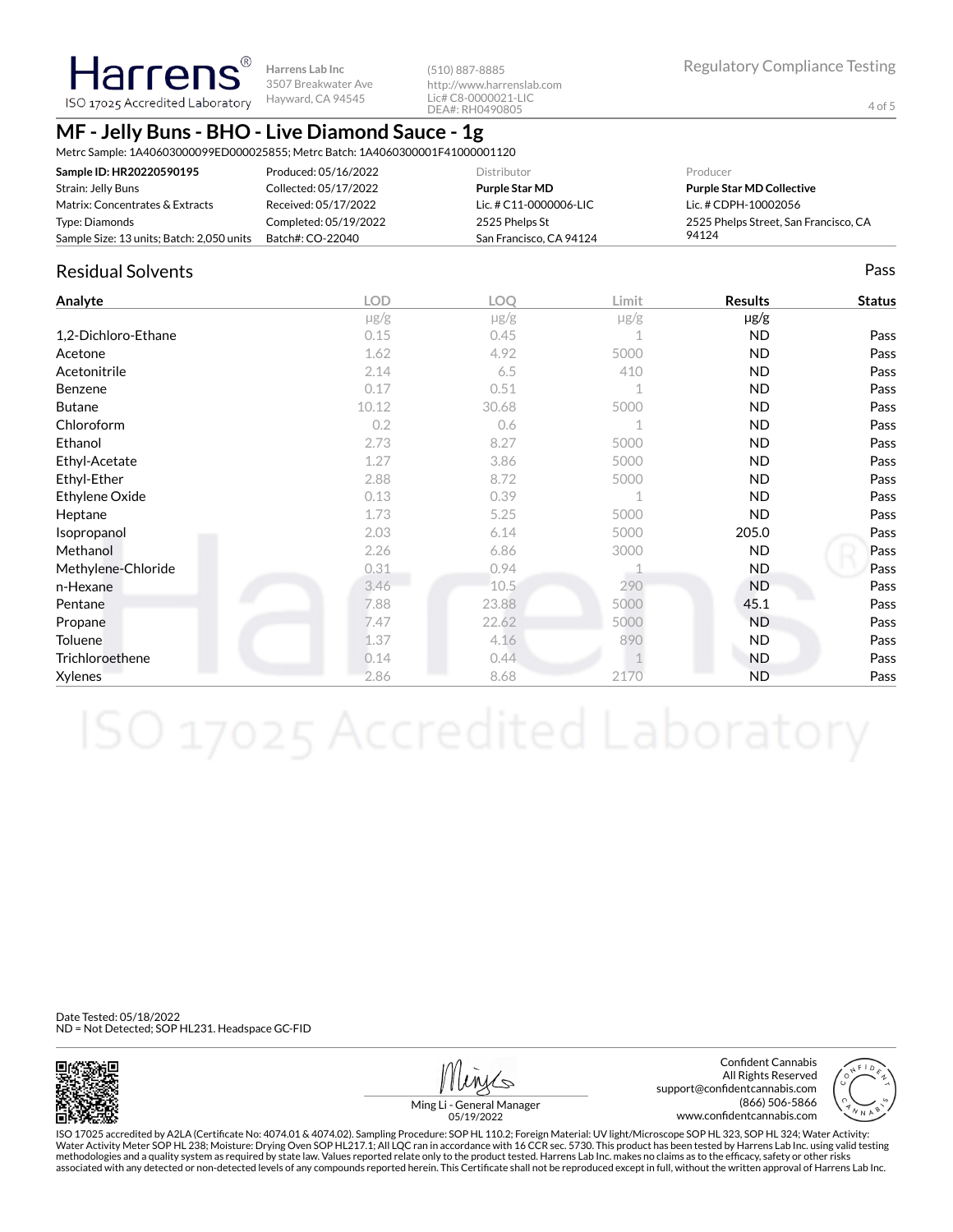**Harrens Lab Inc** 3507 Breakwater Ave ISO 17025 Accredited Laboratory Hayward, CA 94545

(510) 887-8885 http://www.harrenslab.com Lic# C8-0000021-LIC DEA#: RH0490805

## **MF - Jelly Buns - BHO - Live Diamond Sauce - 1g**

Metrc Sample: 1A40603000099ED000025855; Metrc Batch: 1A4060300001F41000001120

| Sample ID: HR20220590195                  | Produced: 05/16/2022  | Distributor              | Producer                              |
|-------------------------------------------|-----------------------|--------------------------|---------------------------------------|
| Strain: Jelly Buns                        | Collected: 05/17/2022 | Purple Star MD           | <b>Purple Star MD Collective</b>      |
| Matrix: Concentrates & Extracts           | Received: 05/17/2022  | Lic. # $C11-0000006-LLC$ | Lic. # CDPH-10002056                  |
| Type: Diamonds                            | Completed: 05/19/2022 | 2525 Phelps St           | 2525 Phelps Street, San Francisco, CA |
| Sample Size: 13 units; Batch: 2,050 units | Batch#: CO-22040      | San Francisco, CA 94124  | 94124                                 |

### Residual Solvents Pass

Harrens®

| Analyte             | <b>LOD</b> | <b>LOO</b> | Limit       | <b>Results</b> | <b>Status</b> |
|---------------------|------------|------------|-------------|----------------|---------------|
|                     | $\mu$ g/g  | $\mu$ g/g  | $\mu$ g/g   | $\mu$ g/g      |               |
| 1,2-Dichloro-Ethane | 0.15       | 0.45       | 1           | <b>ND</b>      | Pass          |
| Acetone             | 1.62       | 4.92       | 5000        | <b>ND</b>      | Pass          |
| Acetonitrile        | 2.14       | 6.5        | 410         | <b>ND</b>      | Pass          |
| Benzene             | 0.17       | 0.51       | 1           | ND.            | Pass          |
| <b>Butane</b>       | 10.12      | 30.68      | 5000        | <b>ND</b>      | Pass          |
| Chloroform          | 0.2        | 0.6        | 1           | <b>ND</b>      | Pass          |
| Ethanol             | 2.73       | 8.27       | 5000        | <b>ND</b>      | Pass          |
| Ethyl-Acetate       | 1.27       | 3.86       | 5000        | <b>ND</b>      | Pass          |
| Ethyl-Ether         | 2.88       | 8.72       | 5000        | <b>ND</b>      | Pass          |
| Ethylene Oxide      | 0.13       | 0.39       | $\mathbf 1$ | <b>ND</b>      | Pass          |
| Heptane             | 1.73       | 5.25       | 5000        | ND.            | Pass          |
| Isopropanol         | 2.03       | 6.14       | 5000        | 205.0          | Pass          |
| Methanol            | 2.26       | 6.86       | 3000        | <b>ND</b>      | Pass          |
| Methylene-Chloride  | 0.31       | 0.94       |             | ND.            | Pass          |
| n-Hexane            | 3.46       | 10.5       | 290         | <b>ND</b>      | Pass          |
| Pentane             | 7.88       | 23.88      | 5000        | 45.1           | Pass          |
| Propane             | 7.47       | 22.62      | 5000        | <b>ND</b>      | Pass          |
| Toluene             | 1.37       | 4.16       | 890         | ND.            | Pass          |
| Trichloroethene     | 0.14       | 0.44       |             | ND.            | Pass          |
| Xylenes             | 2.86       | 8.68       | 2170        | <b>ND</b>      | Pass          |

Date Tested: 05/18/2022 ND = Not Detected; SOP HL231. Headspace GC-FID



Confident Cannabis All Rights Reserved support@confidentcannabis.com (866) 506-5866 www.confidentcannabis.com



Ming Li - General Manager 05/19/2022